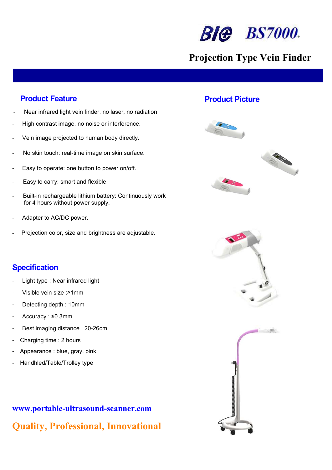

# Projection Type Vein Finder

- Near infrared light vein finder, no laser, no radiation.
- High contrast image, no noise or interference.
- Vein image projected to human body directly.
- No skin touch: real-time image on skin surface.
- Easy to operate: one button to power on/off.
- Easy to carry: smart and flexible.
- Built-in rechargeable lithium battery: Continuously work for 4 hours without power supply.
- Adapter to AC/DC power.
- Projection color, size and brightness are adjustable.

### **Specification**

- Light type : Near infrared light
- Visible vein size :≥1mm
- Detecting depth: 10mm
- Accuracy : ≤0.3mm
- Best imaging distance : 20-26cm
- Charging time : 2 hours
- Appearance : blue, gray, pink
- Handhled/Table/Trolley type



## **Product Feature Product Picture Product Picture**